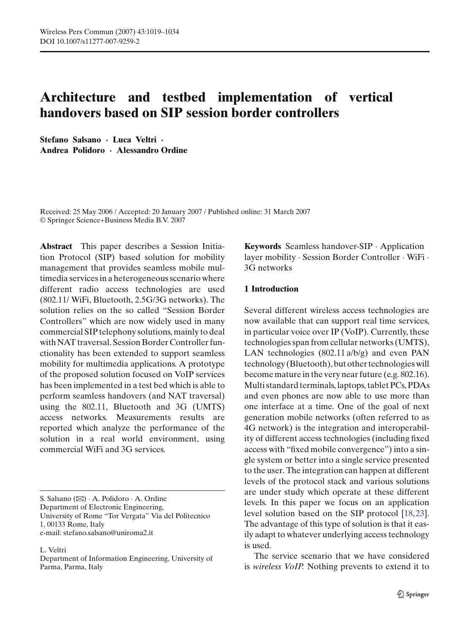# **Architecture and testbed implementation of vertical handovers based on SIP session border controllers**

**Stefano Salsano · Luca Veltri · Andrea Polidoro · Alessandro Ordine**

Received: 25 May 2006 / Accepted: 20 January 2007 / Published online: 31 March 2007 © Springer Science+Business Media B.V. 2007

**Abstract** This paper describes a Session Initiation Protocol (SIP) based solution for mobility management that provides seamless mobile multimedia services in a heterogeneous scenario where different radio access technologies are used (802.11/ WiFi, Bluetooth, 2.5G/3G networks). The solution relies on the so called "Session Border Controllers" which are now widely used in many commercial SIP telephony solutions, mainly to deal with NAT traversal. Session Border Controller functionality has been extended to support seamless mobility for multimedia applications. A prototype of the proposed solution focused on VoIP services has been implemented in a test bed which is able to perform seamless handovers (and NAT traversal) using the 802.11, Bluetooth and 3G (UMTS) access networks. Measurements results are reported which analyze the performance of the solution in a real world environment, using commercial WiFi and 3G services.

#### L. Veltri

**Keywords** Seamless handover-SIP · Application layer mobility · Session Border Controller · WiFi · 3G networks

# <span id="page-0-0"></span>**1 Introduction**

Several different wireless access technologies are now available that can support real time services, in particular voice over IP (VoIP). Currently, these technologies span from cellular networks (UMTS), LAN technologies (802.11 a/b/g) and even PAN technology (Bluetooth), but other technologies will become mature in the very near future (e.g. 802.16). Multi standard terminals, laptops, tablet PCs, PDAs and even phones are now able to use more than one interface at a time. One of the goal of next generation mobile networks (often referred to as 4G network) is the integration and interoperability of different access technologies (including fixed access with "fixed mobile convergence") into a single system or better into a single service presented to the user. The integration can happen at different levels of the protocol stack and various solutions are under study which operate at these different levels. In this paper we focus on an application level solution based on the SIP protocol [\[18](#page-14-0)[,23](#page-15-0)]. The advantage of this type of solution is that it easily adapt to whatever underlying access technology is used.

The service scenario that we have considered is *wireless VoIP.* Nothing prevents to extend it to

S. Salsano (B) · A. Polidoro · A. Ordine Department of Electronic Engineering, University of Rome "Tor Vergata" Via del Politecnico 1, 00133 Rome, Italy e-mail: stefano.salsano@uniroma2.it

Department of Information Engineering, University of Parma, Parma, Italy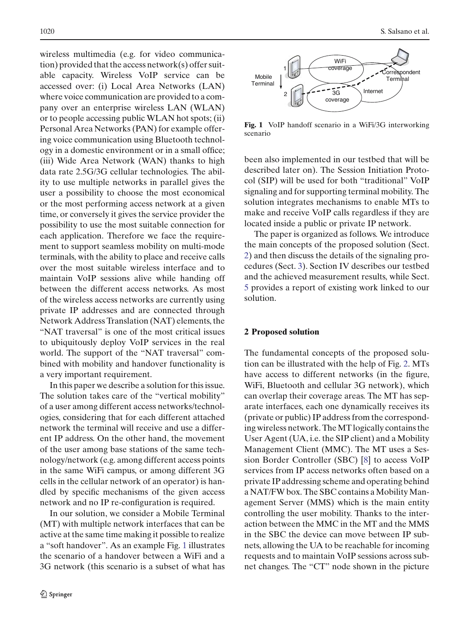wireless multimedia (e.g. for video communica $t$ ion) provided that the access network $(s)$  offer suitable capacity. Wireless VoIP service can be accessed over: (i) Local Area Networks (LAN) where voice communication are provided to a company over an enterprise wireless LAN (WLAN) or to people accessing public WLAN hot spots; (ii) Personal Area Networks (PAN) for example offering voice communication using Bluetooth technology in a domestic environment or in a small office; (iii) Wide Area Network (WAN) thanks to high data rate 2.5G/3G cellular technologies. The ability to use multiple networks in parallel gives the user a possibility to choose the most economical or the most performing access network at a given time, or conversely it gives the service provider the possibility to use the most suitable connection for each application. Therefore we face the requirement to support seamless mobility on multi-mode terminals, with the ability to place and receive calls over the most suitable wireless interface and to maintain VoIP sessions alive while handing off between the different access networks. As most of the wireless access networks are currently using private IP addresses and are connected through Network Address Translation (NAT) elements, the "NAT traversal" is one of the most critical issues to ubiquitously deploy VoIP services in the real world. The support of the "NAT traversal" combined with mobility and handover functionality is a very important requirement.

In this paper we describe a solution for this issue. The solution takes care of the "vertical mobility" of a user among different access networks/technologies, considering that for each different attached network the terminal will receive and use a different IP address. On the other hand, the movement of the user among base stations of the same technology/network (e.g. among different access points in the same WiFi campus, or among different 3G cells in the cellular network of an operator) is handled by specific mechanisms of the given access network and no IP re-configuration is required.

In our solution, we consider a Mobile Terminal (MT) with multiple network interfaces that can be active at the same time making it possible to realize a "soft handover". As an example Fig. [1](#page-0-0) illustrates the scenario of a handover between a WiFi and a 3G network (this scenario is a subset of what has



**Fig. 1** VoIP handoff scenario in a WiFi/3G interworking scenario

been also implemented in our testbed that will be described later on). The Session Initiation Protocol (SIP) will be used for both "traditional" VoIP signaling and for supporting terminal mobility. The solution integrates mechanisms to enable MTs to make and receive VoIP calls regardless if they are located inside a public or private IP network.

The paper is organized as follows. We introduce the main concepts of the proposed solution (Sect. [2\)](#page-0-0) and then discuss the details of the signaling procedures (Sect. [3\)](#page-3-0). Section IV describes our testbed and the achieved measurement results, while Sect. [5](#page-4-0) provides a report of existing work linked to our solution.

#### **2 Proposed solution**

The fundamental concepts of the proposed solution can be illustrated with the help of Fig. [2.](#page-0-0) MTs have access to different networks (in the figure, WiFi, Bluetooth and cellular 3G network), which can overlap their coverage areas. The MT has separate interfaces, each one dynamically receives its (private or public) IP address from the corresponding wireless network. TheMT logically contains the User Agent (UA, i.e. the SIP client) and a Mobility Management Client (MMC). The MT uses a Session Border Controller (SBC) [\[8\]](#page-14-1) to access VoIP services from IP access networks often based on a private IP addressing scheme and operating behind a NAT/FW box. The SBC contains a Mobility Management Server (MMS) which is the main entity controlling the user mobility. Thanks to the interaction between the MMC in the MT and the MMS in the SBC the device can move between IP subnets, allowing the UA to be reachable for incoming requests and to maintain VoIP sessions across subnet changes. The "CT" node shown in the picture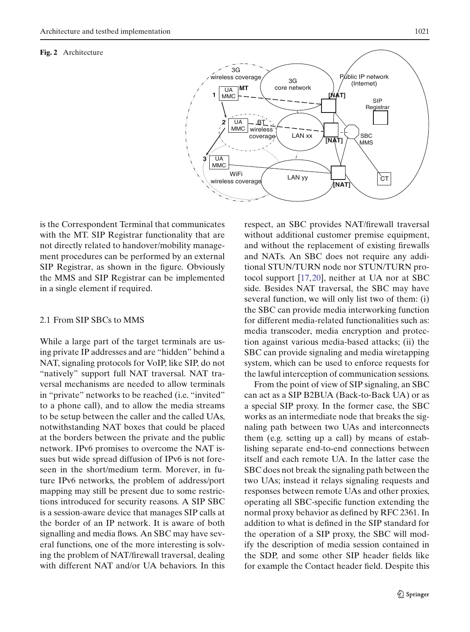#### **Fig. 2** Architecture



is the Correspondent Terminal that communicates with the MT. SIP Registrar functionality that are not directly related to handover/mobility management procedures can be performed by an external SIP Registrar, as shown in the figure. Obviously the MMS and SIP Registrar can be implemented in a single element if required.

## 2.1 From SIP SBCs to MMS

While a large part of the target terminals are using private IP addresses and are "hidden" behind a NAT, signaling protocols for VoIP, like SIP, do not "natively" support full NAT traversal. NAT traversal mechanisms are needed to allow terminals in "private" networks to be reached (i.e. "invited" to a phone call), and to allow the media streams to be setup between the caller and the called UAs, notwithstanding NAT boxes that could be placed at the borders between the private and the public network. IPv6 promises to overcome the NAT issues but wide spread diffusion of IPv6 is not foreseen in the short/medium term. Morever, in future IPv6 networks, the problem of address/port mapping may still be present due to some restrictions introduced for security reasons. A SIP SBC is a session-aware device that manages SIP calls at the border of an IP network. It is aware of both signalling and media flows. An SBC may have several functions, one of the more interesting is solving the problem of NAT/firewall traversal, dealing with different NAT and/or UA behaviors. In this

respect, an SBC provides NAT/firewall traversal without additional customer premise equipment, and without the replacement of existing firewalls and NATs. An SBC does not require any additional STUN/TURN node nor STUN/TURN protocol support [\[17](#page-14-2),[20\]](#page-14-3), neither at UA nor at SBC side. Besides NAT traversal, the SBC may have several function, we will only list two of them: (i) the SBC can provide media interworking function for different media-related functionalities such as: media transcoder, media encryption and protection against various media-based attacks; (ii) the SBC can provide signaling and media wiretapping system, which can be used to enforce requests for the lawful interception of communication sessions.

From the point of view of SIP signaling, an SBC can act as a SIP B2BUA (Back-to-Back UA) or as a special SIP proxy. In the former case, the SBC works as an intermediate node that breaks the signaling path between two UAs and interconnects them (e.g. setting up a call) by means of establishing separate end-to-end connections between itself and each remote UA. In the latter case the SBC does not break the signaling path between the two UAs; instead it relays signaling requests and responses between remote UAs and other proxies, operating all SBC-specific function extending the normal proxy behavior as defined by RFC 2361. In addition to what is defined in the SIP standard for the operation of a SIP proxy, the SBC will modify the description of media session contained in the SDP, and some other SIP header fields like for example the Contact header field. Despite this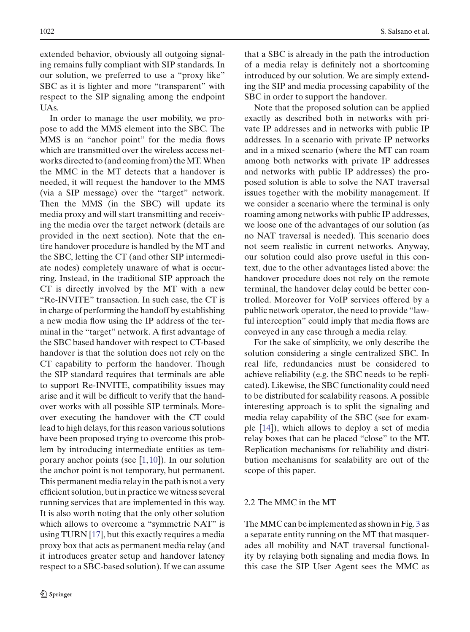extended behavior, obviously all outgoing signaling remains fully compliant with SIP standards. In our solution, we preferred to use a "proxy like" SBC as it is lighter and more "transparent" with respect to the SIP signaling among the endpoint UAs.

In order to manage the user mobility, we propose to add the MMS element into the SBC. The MMS is an "anchor point" for the media flows which are transmitted over the wireless access networks directed to (and coming from) theMT.When the MMC in the MT detects that a handover is needed, it will request the handover to the MMS (via a SIP message) over the "target" network. Then the MMS (in the SBC) will update its media proxy and will start transmitting and receiving the media over the target network (details are provided in the next section). Note that the entire handover procedure is handled by the MT and the SBC, letting the CT (and other SIP intermediate nodes) completely unaware of what is occurring. Instead, in the traditional SIP approach the CT is directly involved by the MT with a new "Re-INVITE" transaction. In such case, the CT is in charge of performing the handoff by establishing a new media flow using the IP address of the terminal in the "target" network. A first advantage of the SBC based handover with respect to CT-based handover is that the solution does not rely on the CT capability to perform the handover. Though the SIP standard requires that terminals are able to support Re-INVITE, compatibility issues may arise and it will be difficult to verify that the handover works with all possible SIP terminals. Moreover executing the handover with the CT could lead to high delays, for this reason various solutions have been proposed trying to overcome this problem by introducing intermediate entities as temporary anchor points (see  $[1,10]$  $[1,10]$  $[1,10]$ ). In our solution the anchor point is not temporary, but permanent. This permanent media relay in the path is not a very efficient solution, but in practice we witness several running services that are implemented in this way. It is also worth noting that the only other solution which allows to overcome a "symmetric NAT" is using TURN [\[17\]](#page-14-2), but this exactly requires a media proxy box that acts as permanent media relay (and it introduces greater setup and handover latency respect to a SBC-based solution). If we can assume

that a SBC is already in the path the introduction of a media relay is definitely not a shortcoming introduced by our solution. We are simply extending the SIP and media processing capability of the SBC in order to support the handover.

Note that the proposed solution can be applied exactly as described both in networks with private IP addresses and in networks with public IP addresses. In a scenario with private IP networks and in a mixed scenario (where the MT can roam among both networks with private IP addresses and networks with public IP addresses) the proposed solution is able to solve the NAT traversal issues together with the mobility management. If we consider a scenario where the terminal is only roaming among networks with public IP addresses, we loose one of the advantages of our solution (as no NAT traversal is needed). This scenario does not seem realistic in current networks. Anyway, our solution could also prove useful in this context, due to the other advantages listed above: the handover procedure does not rely on the remote terminal, the handover delay could be better controlled. Moreover for VoIP services offered by a public network operator, the need to provide "lawful interception" could imply that media flows are conveyed in any case through a media relay.

For the sake of simplicity, we only describe the solution considering a single centralized SBC. In real life, redundancies must be considered to achieve reliability (e.g. the SBC needs to be replicated). Likewise, the SBC functionality could need to be distributed for scalability reasons. A possible interesting approach is to split the signaling and media relay capability of the SBC (see for example [\[14](#page-14-6)]), which allows to deploy a set of media relay boxes that can be placed "close" to the MT. Replication mechanisms for reliability and distribution mechanisms for scalability are out of the scope of this paper.

## <span id="page-3-0"></span>2.2 The MMC in the MT

The MMC can be implemented as shown in Fig. [3](#page-3-0) as a separate entity running on the MT that masquerades all mobility and NAT traversal functionality by relaying both signaling and media flows. In this case the SIP User Agent sees the MMC as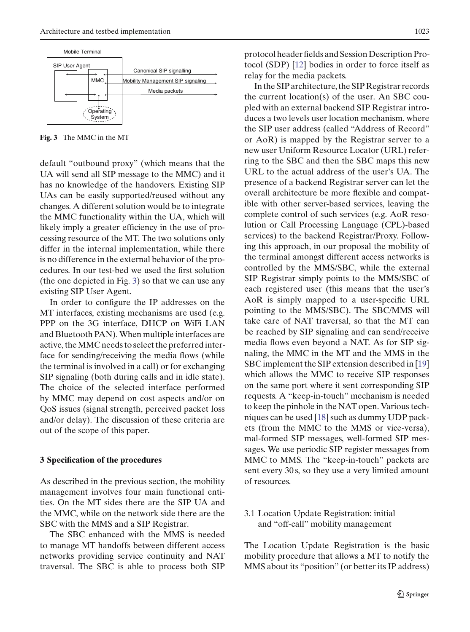

**Fig. 3** The MMC in the MT

default "outbound proxy" (which means that the UA will send all SIP message to the MMC) and it has no knowledge of the handovers. Existing SIP UAs can be easily supported/reused without any changes. A different solution would be to integrate the MMC functionality within the UA, which will likely imply a greater efficiency in the use of processing resource of the MT. The two solutions only differ in the internal implementation, while there is no difference in the external behavior of the procedures. In our test-bed we used the first solution (the one depicted in Fig. [3\)](#page-3-0) so that we can use any existing SIP User Agent.

In order to configure the IP addresses on the MT interfaces, existing mechanisms are used (e.g. PPP on the 3G interface, DHCP on WiFi LAN and Bluetooth PAN). When multiple interfaces are active, theMMC needs to select the preferred interface for sending/receiving the media flows (while the terminal is involved in a call) or for exchanging SIP signaling (both during calls and in idle state). The choice of the selected interface performed by MMC may depend on cost aspects and/or on QoS issues (signal strength, perceived packet loss and/or delay). The discussion of these criteria are out of the scope of this paper.

#### **3 Specification of the procedures**

As described in the previous section, the mobility management involves four main functional entities. On the MT sides there are the SIP UA and the MMC, while on the network side there are the SBC with the MMS and a SIP Registrar.

The SBC enhanced with the MMS is needed to manage MT handoffs between different access networks providing service continuity and NAT traversal. The SBC is able to process both SIP protocol header fields and Session Description Protocol (SDP) [\[12](#page-14-7)] bodies in order to force itself as relay for the media packets.

In the SIP architecture, the SIP Registrar records the current location(s) of the user. An SBC coupled with an external backend SIP Registrar introduces a two levels user location mechanism, where the SIP user address (called "Address of Record" or AoR) is mapped by the Registrar server to a new user Uniform Resource Locator (URL) referring to the SBC and then the SBC maps this new URL to the actual address of the user's UA. The presence of a backend Registrar server can let the overall architecture be more flexible and compatible with other server-based services, leaving the complete control of such services (e.g. AoR resolution or Call Processing Language (CPL)-based services) to the backend Registrar/Proxy. Following this approach, in our proposal the mobility of the terminal amongst different access networks is controlled by the MMS/SBC, while the external SIP Registrar simply points to the MMS/SBC of each registered user (this means that the user's AoR is simply mapped to a user-specific URL pointing to the MMS/SBC). The SBC/MMS will take care of NAT traversal, so that the MT can be reached by SIP signaling and can send/receive media flows even beyond a NAT. As for SIP signaling, the MMC in the MT and the MMS in the SBC implement the SIP extension described in [\[19\]](#page-14-8) which allows the MMC to receive SIP responses on the same port where it sent corresponding SIP requests. A "keep-in-touch" mechanism is needed to keep the pinhole in the NAT open. Various techniques can be used [\[18](#page-14-0)] such as dummy UDP packets (from the MMC to the MMS or vice-versa), mal-formed SIP messages, well-formed SIP messages. We use periodic SIP register messages from MMC to MMS. The "keep-in-touch" packets are sent every 30 s, so they use a very limited amount of resources.

<span id="page-4-0"></span>3.1 Location Update Registration: initial and "off-call" mobility management

The Location Update Registration is the basic mobility procedure that allows a MT to notify the MMS about its "position" (or better its IP address)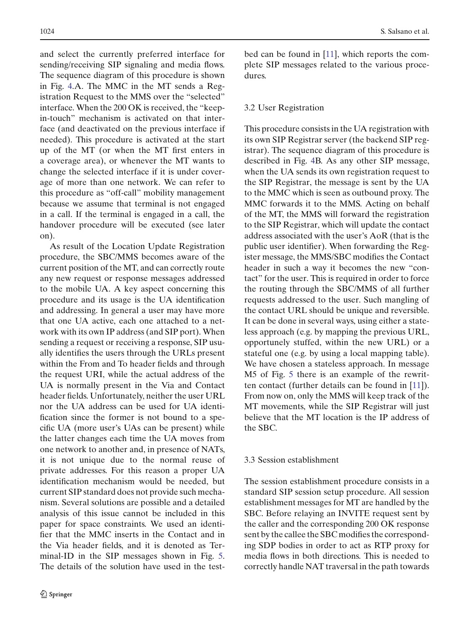and select the currently preferred interface for sending/receiving SIP signaling and media flows. The sequence diagram of this procedure is shown in Fig. [4.](#page-4-0)A. The MMC in the MT sends a Registration Request to the MMS over the "selected" interface. When the 200 OK is received, the "keepin-touch" mechanism is activated on that interface (and deactivated on the previous interface if needed). This procedure is activated at the start up of the MT (or when the MT first enters in a coverage area), or whenever the MT wants to change the selected interface if it is under coverage of more than one network. We can refer to this procedure as "off-call" mobility management because we assume that terminal is not engaged in a call. If the terminal is engaged in a call, the handover procedure will be executed (see later on).

As result of the Location Update Registration procedure, the SBC/MMS becomes aware of the current position of the MT, and can correctly route any new request or response messages addressed to the mobile UA. A key aspect concerning this procedure and its usage is the UA identification and addressing. In general a user may have more that one UA active, each one attached to a network with its own IP address (and SIP port). When sending a request or receiving a response, SIP usually identifies the users through the URLs present within the From and To header fields and through the request URI, while the actual address of the UA is normally present in the Via and Contact header fields. Unfortunately, neither the user URL nor the UA address can be used for UA identification since the former is not bound to a specific UA (more user's UAs can be present) while the latter changes each time the UA moves from one network to another and, in presence of NATs, it is not unique due to the normal reuse of private addresses. For this reason a proper UA identification mechanism would be needed, but current SIP standard does not provide such mechanism. Several solutions are possible and a detailed analysis of this issue cannot be included in this paper for space constraints. We used an identifier that the MMC inserts in the Contact and in the Via header fields, and it is denoted as Terminal-ID in the SIP messages shown in Fig. [5.](#page-4-0) The details of the solution have used in the testbed can be found in [\[11](#page-14-9)], which reports the complete SIP messages related to the various procedures.

## 3.2 User Registration

This procedure consists in the UA registration with its own SIP Registrar server (the backend SIP registrar). The sequence diagram of this procedure is described in Fig. [4B](#page-4-0). As any other SIP message, when the UA sends its own registration request to the SIP Registrar, the message is sent by the UA to the MMC which is seen as outbound proxy. The MMC forwards it to the MMS. Acting on behalf of the MT, the MMS will forward the registration to the SIP Registrar, which will update the contact address associated with the user's AoR (that is the public user identifier). When forwarding the Register message, the MMS/SBC modifies the Contact header in such a way it becomes the new "contact" for the user. This is required in order to force the routing through the SBC/MMS of all further requests addressed to the user. Such mangling of the contact URL should be unique and reversible. It can be done in several ways, using either a stateless approach (e.g. by mapping the previous URL, opportunely stuffed, within the new URL) or a stateful one (e.g. by using a local mapping table). We have chosen a stateless approach. In message M5 of Fig. [5](#page-4-0) there is an example of the rewritten contact (further details can be found in [\[11](#page-14-9)]). From now on, only the MMS will keep track of the MT movements, while the SIP Registrar will just believe that the MT location is the IP address of the SBC.

#### <span id="page-5-0"></span>3.3 Session establishment

The session establishment procedure consists in a standard SIP session setup procedure. All session establishment messages for MT are handled by the SBC. Before relaying an INVITE request sent by the caller and the corresponding 200 OK response sent by the callee the SBC modifies the corresponding SDP bodies in order to act as RTP proxy for media flows in both directions. This is needed to correctly handle NAT traversal in the path towards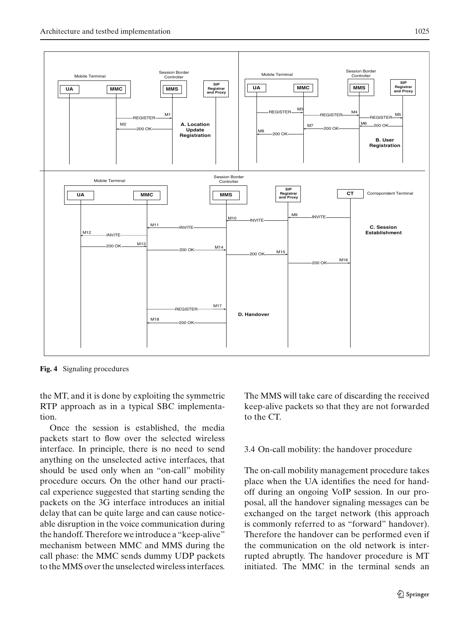

**Fig. 4** Signaling procedures

the MT, and it is done by exploiting the symmetric RTP approach as in a typical SBC implementation.

Once the session is established, the media packets start to flow over the selected wireless interface. In principle, there is no need to send anything on the unselected active interfaces, that should be used only when an "on-call" mobility procedure occurs. On the other hand our practical experience suggested that starting sending the packets on the 3G interface introduces an initial delay that can be quite large and can cause noticeable disruption in the voice communication during the handoff. Therefore we introduce a "keep-alive" mechanism between MMC and MMS during the call phase: the MMC sends dummy UDP packets to theMMS over the unselected wireless interfaces.

The MMS will take care of discarding the received keep-alive packets so that they are not forwarded to the CT.

# 3.4 On-call mobility: the handover procedure

The on-call mobility management procedure takes place when the UA identifies the need for handoff during an ongoing VoIP session. In our proposal, all the handover signaling messages can be exchanged on the target network (this approach is commonly referred to as "forward" handover). Therefore the handover can be performed even if the communication on the old network is interrupted abruptly. The handover procedure is MT initiated. The MMC in the terminal sends an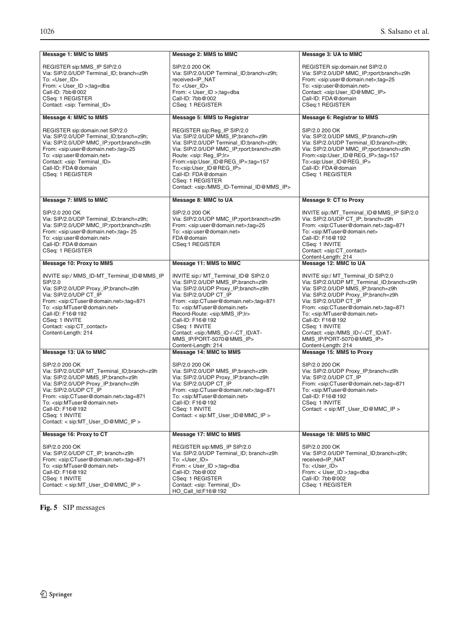| Message 1: MMC to MMS                                         | Message 2: MMS to MMC                                                            | Message 3: UA to MMC                                          |
|---------------------------------------------------------------|----------------------------------------------------------------------------------|---------------------------------------------------------------|
|                                                               |                                                                                  |                                                               |
| REGISTER sip: MMS IP SIP/2.0                                  | SIP/2.0 200 OK                                                                   | REGISTER sip:domain.net SIP/2.0                               |
| Via: SIP/2.0/UDP Terminal ID; branch=z9h                      | Via: SIP/2.0/UDP Terminal ID;branch=z9h;                                         | Via: SIP/2.0/UDP MMC IP;rport;branch=z9h                      |
| To: <user id=""></user>                                       | received=IP NAT                                                                  | From: <sip:user@domain.net>;taq=25</sip:user@domain.net>      |
| From: < User_ID >;tag=dba                                     | To: <user id=""></user>                                                          | To: <sip:user@domain.net></sip:user@domain.net>               |
| Call-ID: 7bb@002                                              | From: < User_ID >;tag=dba                                                        | Contact: <sip:user id@mmc="" ip=""></sip:user>                |
|                                                               |                                                                                  |                                                               |
| CSeq: 1 REGISTER                                              | Call-ID: 7bb@002                                                                 | Call-ID: FDA@domain                                           |
| Contact: <sip: terminal_id=""></sip:>                         | CSeq: 1 REGISTER                                                                 | CSeq:1 REGISTER                                               |
|                                                               |                                                                                  |                                                               |
| <b>Message 4: MMC to MMS</b>                                  | <b>Message 5: MMS to Registrar</b>                                               | Message 6: Registrar to MMS                                   |
|                                                               |                                                                                  |                                                               |
| REGISTER sip:domain.net SIP/2.0                               | REGISTER sip:Req IP SIP/2.0                                                      | SIP/2.0 200 OK                                                |
| Via: SIP/2.0/UDP Terminal_ID;branch=z9h;                      | Via: SIP/2.0/UDP MMS_IP;branch=z9h                                               | Via: SIP/2.0/UDP MMS_IP;branch=z9h                            |
| Via: SIP/2.0/UDP MMC_IP;rport;branch=z9h                      | Via: SIP/2.0/UDP Terminal ID;branch=z9h;                                         | Via: SIP/2.0/UDP Terminal ID;branch=z9h;                      |
| From: <sip:user@domain.net>;tag=25</sip:user@domain.net>      | Via: SIP/2.0/UDP MMC_IP;rport;branch=z9h                                         | Via: SIP/2.0/UDP MMC_IP;rport;branch=z9h                      |
| To: <sip:user@domain.net></sip:user@domain.net>               | Route: <sip: ip;lr="" reg=""></sip:>                                             | From: <sip:user id@reg="" ip="">;tag=157</sip:user>           |
| Contact: <sip: terminal_id=""></sip:>                         | From: <sip:user_id@reg_ip>;tag=157</sip:user_id@reg_ip>                          | To: <sip:user id@reg_ip=""></sip:user>                        |
| Call-ID: FDA@domain                                           | To: <sip:user_id@reg_ip></sip:user_id@reg_ip>                                    | Call-ID: FDA@domain                                           |
|                                                               |                                                                                  |                                                               |
| CSeq: 1 REGISTER                                              | Call-ID: FDA@domain                                                              | CSeq: 1 REGISTER                                              |
|                                                               | CSeq: 1 REGISTER                                                                 |                                                               |
|                                                               | Contact: <sip: id-terminal="" id@mms="" ip="" mms=""></sip:>                     |                                                               |
|                                                               |                                                                                  |                                                               |
| Message 7: MMS to MMC                                         | Message 8: MMC to UA                                                             | Message 9: CT to Proxy                                        |
|                                                               |                                                                                  |                                                               |
| SIP/2.0 200 OK                                                | SIP/2.0 200 OK                                                                   | INVITE sip:/MT_Terminal_ID@MMS_IP SIP/2.0                     |
| Via: SIP/2.0/UDP Terminal_ID;branch=z9h;                      | Via: SIP/2.0/UDP MMC_IP;rport;branch=z9h                                         | Via: SIP/2.0/UDP CT_IP; branch=z9h                            |
| Via: SIP/2.0/UDP MMC_IP;rport;branch=z9h                      | From: <sip:user@domain.net>;tag=25</sip:user@domain.net>                         | From: <sip:ctuser@domain.net>;taq=871</sip:ctuser@domain.net> |
| From: <sip:user@domain.net>;tag= 25</sip:user@domain.net>     | To: <sip:user@domain.net></sip:user@domain.net>                                  | To: <sip:mtuser@domain.net></sip:mtuser@domain.net>           |
| To: <sip:user@domain.net></sip:user@domain.net>               | FDA@domain                                                                       | Call-ID: F16@192                                              |
| Call-ID: FDA@domain                                           | CSeq:1 REGISTER                                                                  | CSeq: 1 INVITE                                                |
| CSeq: 1 REGISTER                                              |                                                                                  | Contact: <sip:ct_contact></sip:ct_contact>                    |
|                                                               |                                                                                  | Content-Length: 214                                           |
| Message 10: Proxy to MMS                                      | Message 11: MMS to MMC                                                           | Message 12: MMC to UA                                         |
|                                                               |                                                                                  |                                                               |
| INVITE sip:/ MMS_ID-MT_Terminal_ID@MMS_IP                     | INVITE sip:/ MT_Terminal_ID@ SIP/2.0                                             | INVITE sip:/ MT_Terminal_ID SIP/2.0                           |
|                                                               |                                                                                  | Via: SIP/2.0/UDP MT Terminal ID;branch=z9h                    |
| SIP/2.0                                                       | Via: SIP/2.0/UDP MMS IP;branch=z9h                                               |                                                               |
| Via: SIP/2.0/UDP Proxy IP;branch=z9h                          | Via: SIP/2.0/UDP Proxy_IP;branch=z9h                                             | Via: SIP/2.0/UDP MMS_IP;branch=z9h                            |
| Via: SIP/2.0/UDP CT IP                                        | Via: SIP/2.0/UDP CT IP                                                           | Via: SIP/2.0/UDP Proxy_IP;branch=z9h                          |
| From: <sip:ctuser@domain.net>;tag=871</sip:ctuser@domain.net> | From: <sip:ctuser@domain.net>;tag=871</sip:ctuser@domain.net>                    | Via: SIP/2.0/UDP CT_IP                                        |
| To: <sip:mtuser@domain.net></sip:mtuser@domain.net>           | To: <sip:mtuser@domain.net></sip:mtuser@domain.net>                              | From: <sip:ctuser@domain.net>;tag=871</sip:ctuser@domain.net> |
| Call-ID: F16@192                                              | Record-Route: <sip:mms ip:ir=""></sip:mms>                                       | To: <sip:mtuser@domain.net></sip:mtuser@domain.net>           |
| CSeq: 1 INVITE                                                | Call-ID: F16@192                                                                 | Call-ID: F16@192                                              |
| Contact: <sip:ct_contact></sip:ct_contact>                    | CSeq: 1 INVITE                                                                   | CSeq: 1 INVITE                                                |
| Content-Length: 214                                           |                                                                                  | Contact: <sip: at-<="" mms_id-="" td="" ~ct_id=""></sip:>     |
|                                                               | Contact: <sip: at-<br="" mms_id-="" ~ct_id="">MMS IP/PORT-5070@MMS IP&gt;</sip:> | MMS IP/PORT-5070@MMS IP>                                      |
|                                                               |                                                                                  |                                                               |
| Message 13: UA to MMC                                         | Content-Length: 214<br>Message 14: MMC to MMS                                    | Content-Length: 214<br>Message 15: MMS to Proxy               |
|                                                               |                                                                                  |                                                               |
| SIP/2.0 200 OK                                                | SIP/2.0 200 OK                                                                   | SIP/2.0 200 OK                                                |
| Via: SIP/2.0/UDP MT_Terminal_ID;branch=z9h                    | Via: SIP/2.0/UDP MMS_IP;branch=z9h                                               | Via: SIP/2.0/UDP Proxy_IP;branch=z9h                          |
|                                                               |                                                                                  |                                                               |
| Via: SIP/2.0/UDP MMS_IP;branch=z9h                            | Via: SIP/2.0/UDP Proxy_IP;branch=z9h                                             | Via: SIP/2.0/UDP CT_IP                                        |
| Via: SIP/2.0/UDP Proxy_IP;branch=z9h                          | Via: SIP/2.0/UDP CT IP                                                           | From: <sip:ctuser@domain.net>;taq=871</sip:ctuser@domain.net> |
| Via: SIP/2.0/UDP CT IP                                        | From: <sip:ctuser@domain.net>;taq=871</sip:ctuser@domain.net>                    | To: <sip:mtuser@domain.net></sip:mtuser@domain.net>           |
| From: <sip:ctuser@domain.net>;taq=871</sip:ctuser@domain.net> | To: <sip:mtuser@domain.net></sip:mtuser@domain.net>                              | Call-ID: F16@192                                              |
| To: <sip:mtuser@domain.net></sip:mtuser@domain.net>           | Call-ID: F16@192                                                                 | CSeq: 1 INVITE                                                |
| Call-ID: F16@192                                              | CSeq: 1 INVITE                                                                   | Contact: < sip:MT_User_ID@MMC_IP >                            |
| CSeq: 1 INVITE                                                | Contact: < sip:MT User ID@MMC IP >                                               |                                                               |
| Contact: < sip:MT_User_ID@MMC_IP >                            |                                                                                  |                                                               |
|                                                               |                                                                                  |                                                               |
| Message 16: Proxy to CT                                       | Message 17: MMC to MMS                                                           | Message 18: MMS to MMC                                        |
|                                                               |                                                                                  |                                                               |
| SIP/2.0 200 OK                                                | REGISTER sip: MMS IP SIP/2.0                                                     | SIP/2.0 200 OK                                                |
| Via: SIP/2.0/UDP CT_IP; branch=z9h                            | Via: SIP/2.0/UDP Terminal_ID; branch=z9h                                         | Via: SIP/2.0/UDP Terminal_ID;branch=z9h;                      |
| From: <sip:ctuser@domain.net>;taq=871</sip:ctuser@domain.net> | To: < User ID>                                                                   | received=IP NAT                                               |
| To: <sip:mtuser@domain.net></sip:mtuser@domain.net>           | From: < User ID >;taq=dba                                                        | To: < User ID>                                                |
| Call-ID: F16@192                                              | Call-ID: 7bb@002                                                                 | From: < User_ID >;tag=dba                                     |
| CSeq: 1 INVITE                                                | CSeq: 1 REGISTER                                                                 | Call-ID: 7bb@002                                              |
| Contact: < sip:MT_User_ID@MMC_IP >                            | Contact: <sip: id="" terminal=""></sip:>                                         | CSeq: 1 REGISTER                                              |
|                                                               | HO_Call_Id:F16@192                                                               |                                                               |

**Fig. 5** SIP messages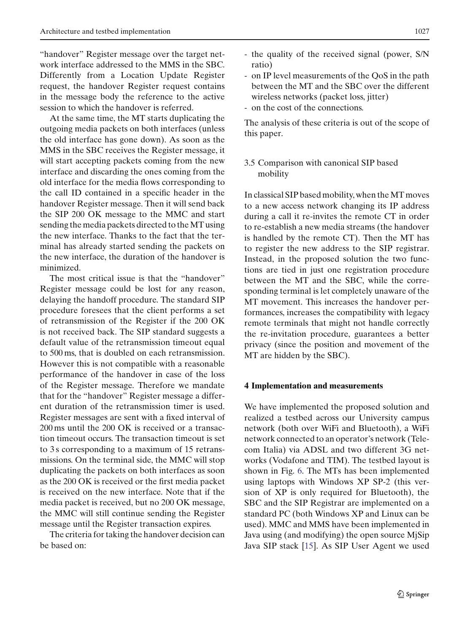"handover" Register message over the target network interface addressed to the MMS in the SBC. Differently from a Location Update Register request, the handover Register request contains in the message body the reference to the active session to which the handover is referred.

At the same time, the MT starts duplicating the outgoing media packets on both interfaces (unless the old interface has gone down). As soon as the MMS in the SBC receives the Register message, it will start accepting packets coming from the new interface and discarding the ones coming from the old interface for the media flows corresponding to the call ID contained in a specific header in the handover Register message. Then it will send back the SIP 200 OK message to the MMC and start sending the media packets directed to theMT using the new interface. Thanks to the fact that the terminal has already started sending the packets on the new interface, the duration of the handover is minimized.

The most critical issue is that the "handover" Register message could be lost for any reason, delaying the handoff procedure. The standard SIP procedure foresees that the client performs a set of retransmission of the Register if the 200 OK is not received back. The SIP standard suggests a default value of the retransmission timeout equal to 500 ms, that is doubled on each retransmission. However this is not compatible with a reasonable performance of the handover in case of the loss of the Register message. Therefore we mandate that for the "handover" Register message a different duration of the retransmission timer is used. Register messages are sent with a fixed interval of 200 ms until the 200 OK is received or a transaction timeout occurs. The transaction timeout is set to 3 s corresponding to a maximum of 15 retransmissions. On the terminal side, the MMC will stop duplicating the packets on both interfaces as soon as the 200 OK is received or the first media packet is received on the new interface. Note that if the media packet is received, but no 200 OK message, the MMC will still continue sending the Register message until the Register transaction expires.

The criteria for taking the handover decision can be based on:

- the quality of the received signal (power, S/N ratio)
- on IP level measurements of the QoS in the path between the MT and the SBC over the different wireless networks (packet loss, jitter)
- on the cost of the connections.

The analysis of these criteria is out of the scope of this paper.

# 3.5 Comparison with canonical SIP based mobility

In classical SIP based mobility, when theMT moves to a new access network changing its IP address during a call it re-invites the remote CT in order to re-establish a new media streams (the handover is handled by the remote CT). Then the MT has to register the new address to the SIP registrar. Instead, in the proposed solution the two functions are tied in just one registration procedure between the MT and the SBC, while the corresponding terminal is let completely unaware of the MT movement. This increases the handover performances, increases the compatibility with legacy remote terminals that might not handle correctly the re-invitation procedure, guarantees a better privacy (since the position and movement of the MT are hidden by the SBC).

#### <span id="page-8-0"></span>**4 Implementation and measurements**

We have implemented the proposed solution and realized a testbed across our University campus network (both over WiFi and Bluetooth), a WiFi network connected to an operator's network (Telecom Italia) via ADSL and two different 3G networks (Vodafone and TIM). The testbed layout is shown in Fig. [6.](#page-8-0) The MTs has been implemented using laptops with Windows XP SP-2 (this version of XP is only required for Bluetooth), the SBC and the SIP Registrar are implemented on a standard PC (both Windows XP and Linux can be used). MMC and MMS have been implemented in Java using (and modifying) the open source MjSip Java SIP stack [\[15\]](#page-14-10). As SIP User Agent we used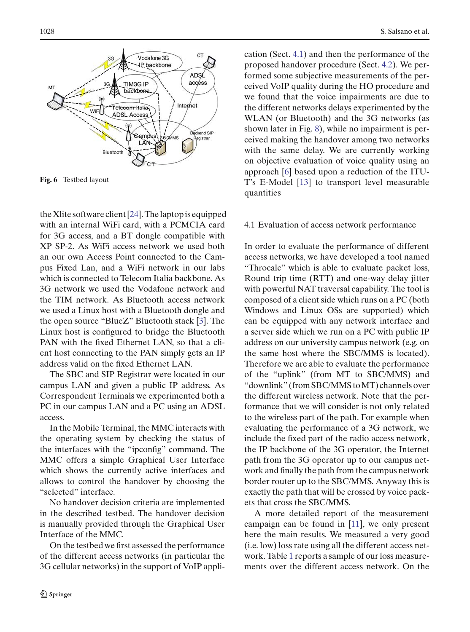

**Fig. 6** Testbed layout

the Xlite software client [\[24](#page-15-1)].Thelaptopis equipped with an internal WiFi card, with a PCMCIA card for 3G access, and a BT dongle compatible with XP SP-2. As WiFi access network we used both an our own Access Point connected to the Campus Fixed Lan, and a WiFi network in our labs which is connected to Telecom Italia backbone. As 3G network we used the Vodafone network and the TIM network. As Bluetooth access network we used a Linux host with a Bluetooth dongle and the open source "BlueZ" Bluetooth stack [\[3\]](#page-14-11). The Linux host is configured to bridge the Bluetooth PAN with the fixed Ethernet LAN, so that a client host connecting to the PAN simply gets an IP address valid on the fixed Ethernet LAN.

The SBC and SIP Registrar were located in our campus LAN and given a public IP address. As Correspondent Terminals we experimented both a PC in our campus LAN and a PC using an ADSL access.

In the Mobile Terminal, the MMC interacts with the operating system by checking the status of the interfaces with the "ipconfig" command. The MMC offers a simple Graphical User Interface which shows the currently active interfaces and allows to control the handover by choosing the "selected" interface.

No handover decision criteria are implemented in the described testbed. The handover decision is manually provided through the Graphical User Interface of the MMC.

On the testbed we first assessed the performance of the different access networks (in particular the 3G cellular networks) in the support of VoIP application (Sect. [4.1\)](#page-9-0) and then the performance of the proposed handover procedure (Sect. [4.2\)](#page-10-0). We performed some subjective measurements of the perceived VoIP quality during the HO procedure and we found that the voice impairments are due to the different networks delays experimented by the WLAN (or Bluetooth) and the 3G networks (as shown later in Fig. [8\)](#page-10-0), while no impairment is perceived making the handover among two networks with the same delay. We are currently working on objective evaluation of voice quality using an approach [\[6](#page-14-12)] based upon a reduction of the ITU-T's E-Model [\[13](#page-14-13)] to transport level measurable quantities

## <span id="page-9-0"></span>4.1 Evaluation of access network performance

In order to evaluate the performance of different access networks, we have developed a tool named "Throcalc" which is able to evaluate packet loss, Round trip time (RTT) and one-way delay jitter with powerful NAT traversal capability. The tool is composed of a client side which runs on a PC (both Windows and Linux OSs are supported) which can be equipped with any network interface and a server side which we run on a PC with public IP address on our university campus network (e.g. on the same host where the SBC/MMS is located). Therefore we are able to evaluate the performance of the "uplink" (from MT to SBC/MMS) and "downlink" (from SBC/MMS to MT) channels over the different wireless network. Note that the performance that we will consider is not only related to the wireless part of the path. For example when evaluating the performance of a 3G network, we include the fixed part of the radio access network, the IP backbone of the 3G operator, the Internet path from the 3G operator up to our campus network and finally the path from the campus network border router up to the SBC/MMS. Anyway this is exactly the path that will be crossed by voice packets that cross the SBC/MMS.

A more detailed report of the measurement campaign can be found in [\[11\]](#page-14-9), we only present here the main results. We measured a very good (i.e. low) loss rate using all the different access network. Table [1](#page-8-0) reports a sample of our loss measurements over the different access network. On the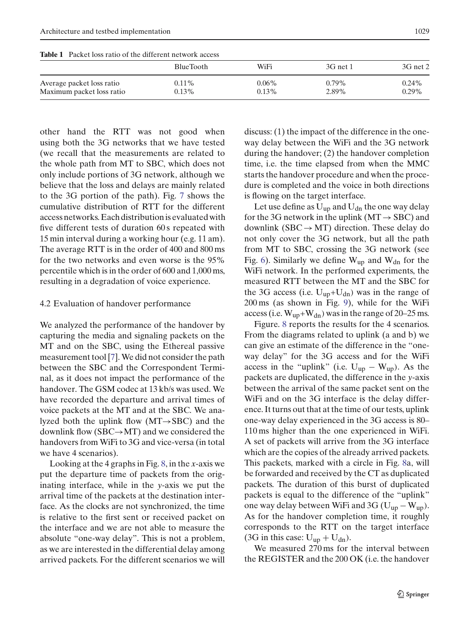**Table 1** Packet loss ratio of the different network access

|                           | <b>BlueTooth</b> | WiFi     | 3G net 1 | 3G net 2 |
|---------------------------|------------------|----------|----------|----------|
| Average packet loss ratio | $0.11\%$         | $0.06\%$ | $0.79\%$ | $0.24\%$ |
| Maximum packet loss ratio | $0.13\%$         | $0.13\%$ | 2.89%    | $0.29\%$ |

other hand the RTT was not good when using both the 3G networks that we have tested (we recall that the measurements are related to the whole path from MT to SBC, which does not only include portions of 3G network, although we believe that the loss and delays are mainly related to the 3G portion of the path). Fig. [7](#page-9-0) shows the cumulative distribution of RTT for the different access networks. Each distribution is evaluated with five different tests of duration 60 s repeated with 15 min interval during a working hour (e.g. 11 am). The average RTT is in the order of 400 and 800 ms for the two networks and even worse is the 95% percentile which is in the order of 600 and 1,000 ms, resulting in a degradation of voice experience.

#### <span id="page-10-0"></span>4.2 Evaluation of handover performance

We analyzed the performance of the handover by capturing the media and signaling packets on the MT and on the SBC, using the Ethereal passive measurement tool [\[7\]](#page-14-14). We did not consider the path between the SBC and the Correspondent Terminal, as it does not impact the performance of the handover. The GSM codec at 13 kb/s was used. We have recorded the departure and arrival times of voice packets at the MT and at the SBC. We analyzed both the uplink flow (MT→SBC) and the downlink flow (SBC $\rightarrow$ MT) and we considered the handovers from WiFi to 3G and vice-versa (in total we have 4 scenarios).

Looking at the 4 graphs in Fig. [8,](#page-10-0) in the *x*-axis we put the departure time of packets from the originating interface, while in the *y*-axis we put the arrival time of the packets at the destination interface. As the clocks are not synchronized, the time is relative to the first sent or received packet on the interface and we are not able to measure the absolute "one-way delay". This is not a problem, as we are interested in the differential delay among arrived packets. For the different scenarios we will discuss: (1) the impact of the difference in the oneway delay between the WiFi and the 3G network during the handover; (2) the handover completion time, i.e. the time elapsed from when the MMC starts the handover procedure and when the procedure is completed and the voice in both directions is flowing on the target interface.

Let use define as  $U_{\text{up}}$  and  $U_{\text{dn}}$  the one way delay for the 3G network in the uplink ( $MT \rightarrow SBC$ ) and downlink ( $SBC \rightarrow MT$ ) direction. These delay do not only cover the 3G network, but all the path from MT to SBC, crossing the 3G network (see Fig. [6\)](#page-8-0). Similarly we define  $W_{up}$  and  $W_{dn}$  for the WiFi network. In the performed experiments, the measured RTT between the MT and the SBC for the 3G access (i.e. Uup+Udn*)* was in the range of 200 ms (as shown in Fig. [9\)](#page-10-0), while for the WiFi access (i.e.  $W_{up} + W_{dn}$ ) was in the range of 20–25 ms.

Figure. [8](#page-10-0) reports the results for the 4 scenarios. From the diagrams related to uplink (a and b) we can give an estimate of the difference in the "oneway delay" for the 3G access and for the WiFi access in the "uplink" (i.e.  $U_{up} - W_{up}$ ). As the packets are duplicated, the difference in the *y*-axis between the arrival of the same packet sent on the WiFi and on the 3G interface is the delay difference. It turns out that at the time of our tests, uplink one-way delay experienced in the 3G access is 80– 110 ms higher than the one experienced in WiFi. A set of packets will arrive from the 3G interface which are the copies of the already arrived packets. This packets, marked with a circle in Fig. [8a](#page-10-0), will be forwarded and received by the CT as duplicated packets. The duration of this burst of duplicated packets is equal to the difference of the "uplink" one way delay between WiFi and 3G (Uup −Wup*)*. As for the handover completion time, it roughly corresponds to the RTT on the target interface (3G in this case:  $U_{\text{up}} + U_{\text{dn}}$ ).

We measured 270 ms for the interval between the REGISTER and the 200 OK (i.e. the handover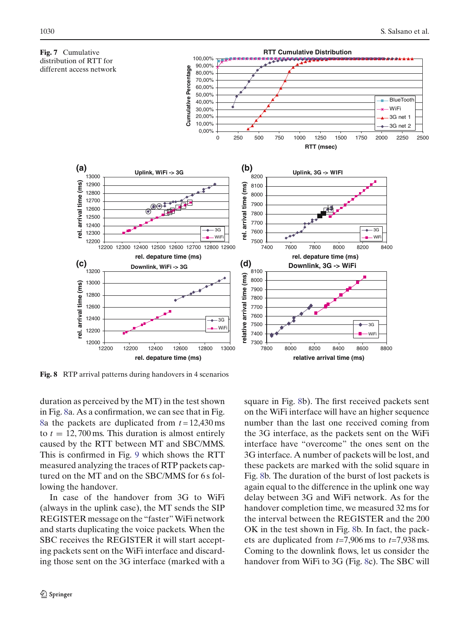

**Fig. 8** RTP arrival patterns during handovers in 4 scenarios

duration as perceived by the MT) in the test shown in Fig. [8a](#page-10-0). As a confirmation, we can see that in Fig. [8a](#page-10-0) the packets are duplicated from *t* = 12,430 ms to  $t = 12,700$  ms. This duration is almost entirely caused by the RTT between MT and SBC/MMS. This is confirmed in Fig. [9](#page-10-0) which shows the RTT measured analyzing the traces of RTP packets captured on the MT and on the SBC/MMS for 6 s following the handover.

In case of the handover from 3G to WiFi (always in the uplink case), the MT sends the SIP REGISTER message on the "faster"WiFi network and starts duplicating the voice packets. When the SBC receives the REGISTER it will start accepting packets sent on the WiFi interface and discarding those sent on the 3G interface (marked with a

square in Fig. [8b](#page-10-0)). The first received packets sent on the WiFi interface will have an higher sequence number than the last one received coming from the 3G interface, as the packets sent on the WiFi interface have "overcome" the ones sent on the 3G interface. A number of packets will be lost, and these packets are marked with the solid square in Fig. [8b](#page-10-0). The duration of the burst of lost packets is again equal to the difference in the uplink one way delay between 3G and WiFi network. As for the handover completion time, we measured 32 ms for the interval between the REGISTER and the 200 OK in the test shown in Fig. [8b](#page-10-0). In fact, the packets are duplicated from *t*=7,906 ms to *t*=7,938 ms. Coming to the downlink flows, let us consider the handover from WiFi to 3G (Fig. [8c](#page-10-0)). The SBC will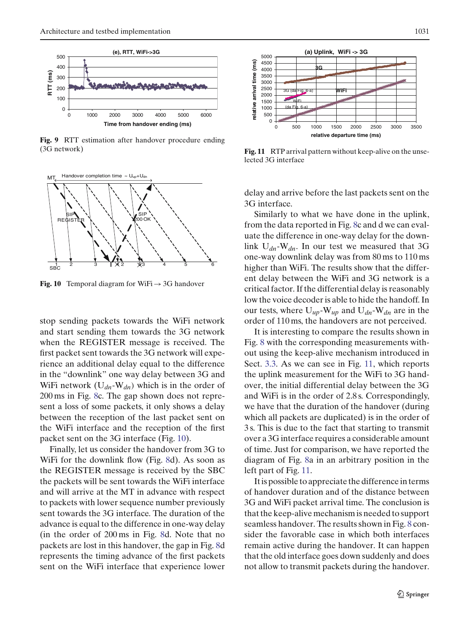

**Fig. 9** RTT estimation after handover procedure ending (3G network)



**Fig. 10** Temporal diagram for WiFi $\rightarrow$ 3G handover

stop sending packets towards the WiFi network and start sending them towards the 3G network when the REGISTER message is received. The first packet sent towards the 3G network will experience an additional delay equal to the difference in the "downlink" one way delay between 3G and WiFi network  $(U_{dn}$ -W<sub>*dn*</sub>) which is in the order of 200 ms in Fig. [8c](#page-10-0). The gap shown does not represent a loss of some packets, it only shows a delay between the reception of the last packet sent on the WiFi interface and the reception of the first packet sent on the 3G interface (Fig. [10\)](#page-10-0).

Finally, let us consider the handover from 3G to WiFi for the downlink flow (Fig. [8d](#page-10-0)). As soon as the REGISTER message is received by the SBC the packets will be sent towards the WiFi interface and will arrive at the MT in advance with respect to packets with lower sequence number previously sent towards the 3G interface. The duration of the advance is equal to the difference in one-way delay (in the order of 200 ms in Fig. [8d](#page-10-0). Note that no packets are lost in this handover, the gap in Fig. [8d](#page-10-0) represents the timing advance of the first packets sent on the WiFi interface that experience lower



**Fig. 11** RTP arrival pattern without keep-alive on the unselected 3G interface

delay and arrive before the last packets sent on the 3G interface.

Similarly to what we have done in the uplink, from the data reported in Fig. [8c](#page-10-0) and d we can evaluate the difference in one-way delay for the downlink U*dn*-W*dn*. In our test we measured that 3G one-way downlink delay was from 80 ms to 110 ms higher than WiFi. The results show that the different delay between the WiFi and 3G network is a critical factor. If the differential delay is reasonably low the voice decoder is able to hide the handoff. In our tests, where U*up*-W*up* and U*dn*-W*dn* are in the order of 110 ms, the handovers are not perceived.

It is interesting to compare the results shown in Fig. [8](#page-10-0) with the corresponding measurements without using the keep-alive mechanism introduced in Sect. [3.3.](#page-5-0) As we can see in Fig. [11,](#page-10-0) which reports the uplink measurement for the WiFi to 3G handover, the initial differential delay between the 3G and WiFi is in the order of 2.8 s. Correspondingly, we have that the duration of the handover (during which all packets are duplicated) is in the order of 3 s. This is due to the fact that starting to transmit over a 3G interface requires a considerable amount of time. Just for comparison, we have reported the diagram of Fig. [8a](#page-10-0) in an arbitrary position in the left part of Fig. [11.](#page-10-0)

Itis possible to appreciate the differencein terms of handover duration and of the distance between 3G and WiFi packet arrival time. The conclusion is that the keep-alive mechanism is needed to support seamless handover. The results shown in Fig. [8](#page-10-0) consider the favorable case in which both interfaces remain active during the handover. It can happen that the old interface goes down suddenly and does not allow to transmit packets during the handover.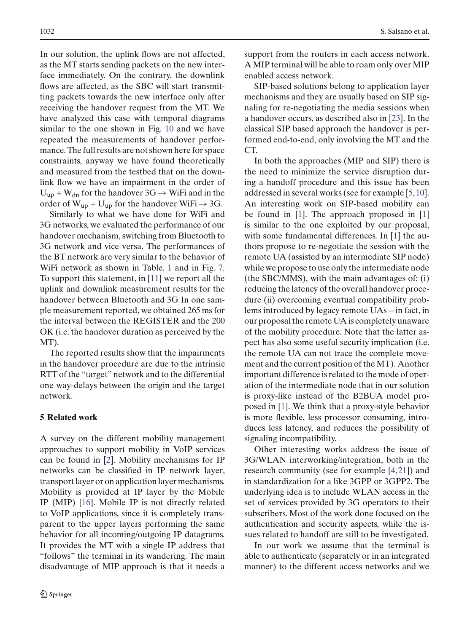In our solution, the uplink flows are not affected, as the MT starts sending packets on the new interface immediately. On the contrary, the downlink flows are affected, as the SBC will start transmitting packets towards the new interface only after receiving the handover request from the MT. We have analyzed this case with temporal diagrams similar to the one shown in Fig. [10](#page-10-0) and we have repeated the measurements of handover performance. The full results are not shown here for space constraints, anyway we have found theoretically and measured from the testbed that on the downlink flow we have an impairment in the order of  $U_{\text{up}} + W_{\text{dn}}$  for the handover 3G  $\rightarrow$  WiFi and in the order of  $W_{up}$  +  $U_{up}$  for the handover WiFi  $\rightarrow$  3G.

Similarly to what we have done for WiFi and 3G networks, we evaluated the performance of our handover mechanism, switching from Bluetooth to 3G network and vice versa. The performances of the BT network are very similar to the behavior of WiFi network as shown in Table. [1](#page-8-0) and in Fig. [7.](#page-9-0) To support this statement, in [\[11](#page-14-9)] we report all the uplink and downlink measurement results for the handover between Bluetooth and 3G In one sample measurement reported, we obtained 265 ms for the interval between the REGISTER and the 200 OK (i.e. the handover duration as perceived by the MT).

The reported results show that the impairments in the handover procedure are due to the intrinsic RTT of the "target" network and to the differential one way-delays between the origin and the target network.

#### **5 Related work**

A survey on the different mobility management approaches to support mobility in VoIP services can be found in [\[2\]](#page-14-15). Mobility mechanisms for IP networks can be classified in IP network layer, transport layer or on application layer mechanisms. Mobility is provided at IP layer by the Mobile IP (MIP) [\[16](#page-14-16)]. Mobile IP is not directly related to VoIP applications, since it is completely transparent to the upper layers performing the same behavior for all incoming/outgoing IP datagrams. It provides the MT with a single IP address that "follows" the terminal in its wandering. The main disadvantage of MIP approach is that it needs a support from the routers in each access network. A MIP terminal will be able to roam only over MIP enabled access network.

SIP-based solutions belong to application layer mechanisms and they are usually based on SIP signaling for re-negotiating the media sessions when a handover occurs, as described also in [\[23](#page-15-0)]. In the classical SIP based approach the handover is performed end-to-end, only involving the MT and the CT.

In both the approaches (MIP and SIP) there is the need to minimize the service disruption during a handoff procedure and this issue has been addressed in several works (see for example [\[5](#page-14-17)[,10](#page-14-5)]. An interesting work on SIP-based mobility can be found in [\[1](#page-14-4)]. The approach proposed in [\[1\]](#page-14-4) is similar to the one exploited by our proposal, with some fundamental differences. In [\[1](#page-14-4)] the authors propose to re-negotiate the session with the remote UA (assisted by an intermediate SIP node) while we propose to use only the intermediate node (the SBC/MMS), with the main advantages of: (i) reducing the latency of the overall handover procedure (ii) overcoming eventual compatibility problems introduced by legacy remote UAs—in fact, in our proposal the remote UA is completely unaware of the mobility procedure. Note that the latter aspect has also some useful security implication (i.e. the remote UA can not trace the complete movement and the current position of the MT). Another important difference is related to the mode of operation of the intermediate node that in our solution is proxy-like instead of the B2BUA model proposed in [\[1](#page-14-4)]. We think that a proxy-style behavior is more flexible, less processor consuming, introduces less latency, and reduces the possibility of signaling incompatibility.

Other interesting works address the issue of 3G/WLAN interworking/integration, both in the research community (see for example [\[4](#page-14-18),[21\]](#page-15-2)) and in standardization for a like 3GPP or 3GPP2. The underlying idea is to include WLAN access in the set of services provided by 3G operators to their subscribers. Most of the work done focused on the authentication and security aspects, while the issues related to handoff are still to be investigated.

In our work we assume that the terminal is able to authenticate (separately or in an integrated manner) to the different access networks and we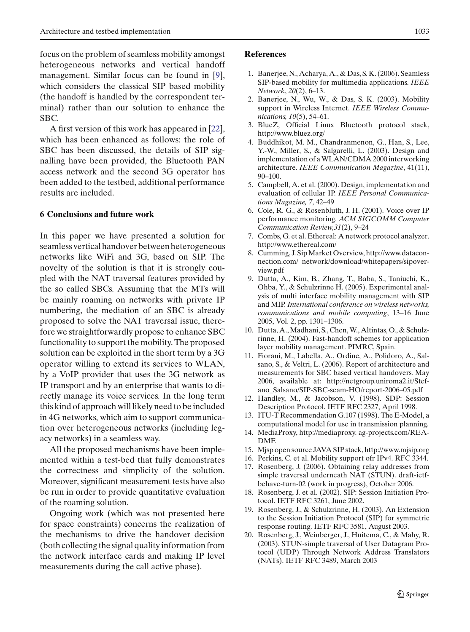focus on the problem of seamless mobility amongst heterogeneous networks and vertical handoff management. Similar focus can be found in [\[9](#page-14-19)], which considers the classical SIP based mobility (the handoff is handled by the correspondent terminal) rather than our solution to enhance the SBC.

A first version of this work has appeared in [\[22](#page-15-3)], which has been enhanced as follows: the role of SBC has been discussed, the details of SIP signalling have been provided, the Bluetooth PAN access network and the second 3G operator has been added to the testbed, additional performance results are included.

#### **6 Conclusions and future work**

In this paper we have presented a solution for seamless vertical handover between heterogeneous networks like WiFi and 3G, based on SIP. The novelty of the solution is that it is strongly coupled with the NAT traversal features provided by the so called SBCs. Assuming that the MTs will be mainly roaming on networks with private IP numbering, the mediation of an SBC is already proposed to solve the NAT traversal issue, therefore we straightforwardly propose to enhance SBC functionality to support the mobility. The proposed solution can be exploited in the short term by a 3G operator willing to extend its services to WLAN, by a VoIP provider that uses the 3G network as IP transport and by an enterprise that wants to directly manage its voice services. In the long term this kind of approach will likely need to be included in 4G networks, which aim to support communication over heterogeneous networks (including legacy networks) in a seamless way.

All the proposed mechanisms have been implemented within a test-bed that fully demonstrates the correctness and simplicity of the solution. Moreover, significant measurement tests have also be run in order to provide quantitative evaluation of the roaming solution.

Ongoing work (which was not presented here for space constraints) concerns the realization of the mechanisms to drive the handover decision (both collecting the signal quality information from the network interface cards and making IP level measurements during the call active phase).

#### <span id="page-14-4"></span>**References**

- 1. Banerjee, N., Acharya, A., & Das, S. K. (2006). Seamless SIP-based mobility for multimedia applications. *IEEE Network*, *20*(2), 6–13.
- <span id="page-14-15"></span>2. Banerjee, N., Wu, W., & Das, S. K. (2003). Mobility support in Wireless Internet. *IEEE Wireless Communications, 10*(5), 54–61.
- <span id="page-14-11"></span>3. BlueZ, Official Linux Bluetooth protocol stack, http://www.bluez.org/
- <span id="page-14-18"></span>4. Buddhikot, M. M., Chandranmenon, G., Han, S., Lee, Y.-W., Miller, S., & Salgarelli, L. (2003). Design and implementation of aWLAN/CDMA 2000 interworking architecture. *IEEE Communication Magazine*, 41(11), 90–100.
- <span id="page-14-17"></span>5. Campbell, A. et al. (2000). Design, implementation and evaluation of cellular IP. *IEEE Personal Communications Magazine, 7*, 42–49
- <span id="page-14-12"></span>6. Cole, R. G., & Rosenbluth, J. H. (2001). Voice over IP performance monitoring. *ACM SIGCOMM Computer Communication Review,31*(2), 9–24
- <span id="page-14-14"></span>7. Combs, G. et al. Ethereal: A network protocol analyzer. http://www.ethereal.com/
- <span id="page-14-1"></span>8. Cumming, J. Sip Market Overview, http://www.dataconnection.com/ network/download/whitepapers/sipoverview.pdf
- <span id="page-14-19"></span>9. Dutta, A., Kim, B., Zhang, T., Baba, S., Taniuchi, K., Ohba, Y., & Schulzrinne H. (2005). Experimental analysis of multi interface mobility management with SIP and MIP. *International conference on wireless networks, communications and mobile computing*, 13–16 June 2005, Vol. 2, pp. 1301–1306.
- <span id="page-14-5"></span>10. Dutta, A., Madhani, S., Chen, W., Altintas, O., & Schulzrinne, H. (2004). Fast-handoff schemes for application layer mobility management. PIMRC, Spain.
- <span id="page-14-9"></span>11. Fiorani, M., Labella, A., Ordine, A., Polidoro, A., Salsano, S., & Veltri, L. (2006). Report of architecture and measurements for SBC based vertical handovers. May 2006, available at: http://netgroup.uniroma2.it/Stefano\_Salsano/SIP-SBC-seam-HO/report-2006–05.pdf
- <span id="page-14-7"></span>12. Handley, M., & Jacobson, V. (1998). SDP: Session Description Protocol. IETF RFC 2327, April 1998.
- <span id="page-14-13"></span>13. ITU-T Recommendation G.107 (1998). The E-Model, a computational model for use in transmission planning.
- <span id="page-14-6"></span>14. MediaProxy, http://mediaproxy. ag-projects.com/REA-DME
- <span id="page-14-10"></span>15. Mjsp open source JAVA SIP stack, http://www.mjsip.org
- <span id="page-14-16"></span><span id="page-14-2"></span>16. Perkins, C. et al. Mobility support ofr IPv4. RFC 3344.
- 17. Rosenberg, J. (2006). Obtaining relay addresses from simple traversal underneath NAT (STUN). draft-ietfbehave-turn-02 (work in progress), October 2006.
- <span id="page-14-0"></span>18. Rosenberg, J. et al. (2002). SIP: Session Initiation Protocol. IETF RFC 3261, June 2002.
- <span id="page-14-8"></span>19. Rosenberg, J., & Schulzrinne, H. (2003). An Extension to the Session Initiation Protocol (SIP) for symmetric response routing. IETF RFC 3581, August 2003.
- <span id="page-14-3"></span>20. Rosenberg, J., Weinberger, J., Huitema, C., & Mahy, R. (2003). STUN-simple traversal of User Datagram Protocol (UDP) Through Network Address Translators (NATs). IETF RFC 3489, March 2003